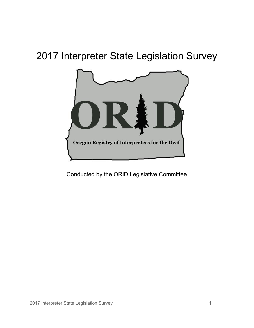# 2017 Interpreter State Legislation Survey



Conducted by the ORID Legislative Committee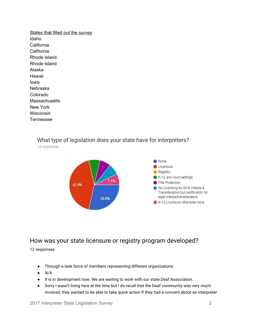States that filled out the survey Idaho California California Rhode Island Rhode Island Alaska Hawaii Iowa Nebraska Colorado **Massachusetts** New York **Wisconsin** Tennessee

#### What type of legislation does your state have for interpreters?

14 responses



#### How was your state licensure or registry program developed?

12 responses

- Through a task force of members representing different organizations
- $\bullet$  N/A
- It is in development now. We are waiting to work with our state Deaf Association.
- Sorry I wasn't living here at the time but I do recall that the Deaf community was very much involved, they wanted to be able to take quick action if they had a concern about an interpreter

2017 Interpreter State Legislation Survey 2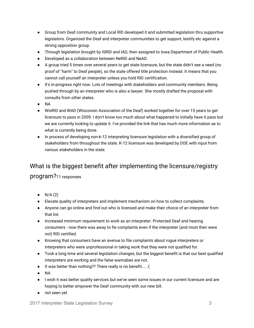- Group from Deaf community and Local RID developed it and submitted legislation thru supportive legislators. Organized the Deaf and interpreter communities to get support, testify etc against a strong opposition group.
- Through legislation brought by ISRID and IAD, then assigned to Iowa Department of Public Health.
- Developed as a collaboration between NeRID and NeAD.
- A group tried 5 times over several years to get state licensure, but the state didn't see a need (no proof of "harm" to Deaf people), so the state offered title protection instead. It means that you cannot call yourself an interpreter unless you hold RID certification.
- It's in-progress right now. Lots of meetings with stakeholders and community members. Being pushed through by an interpreter who is also a lawyer. She mostly drafted the proposal with consults from other states.
- NA
- WisRID and WAD (Wisconsin Association of the Deaf) worked together for over 15 years to get licensure to pass in 2009. I don't know too much about what happened to initially have it pass but we are currently looking to update it. I've provided the link that has much more information as to what is currently being done.
- In process of developing non-k-12 interpreting licensure legislation with a diversified group of stakeholders from throughout the state. K-12 licensure was developed by DOE with input from various stakeholders in the state.

# What is the biggest benefit after implementing the licensure/registry program?<sup>11</sup> responses

- $\bullet$  N/A (2)
- Elevate quality of interpreters and implement mechanism on how to collect complaints
- Anyone can go online and find out who is licensed and make their choice of an interpreter from that list
- Increased minimum requirement to work as an interpreter. Protected Deaf and hearing consumers - now there was away to fie complaints even if the interpreter (and most then were not) RID certified.
- Knowing that consumers have an avenue to file complaints about rogue interpreters or interpreters who were unprofessional in taking work that they were not qualified for.
- Took a long time and several legislation changes, but the biggest benefit is that our best qualified interpreters are working and the false wannabes are not.
- It was better than nothing?? There really is no benefit.... :(
- NA
- I wish it was better quality services but we've seen some issues in our current licensure and are hoping to better empower the Deaf community with our new bill.
- not seen yet

2017 Interpreter State Legislation Survey 3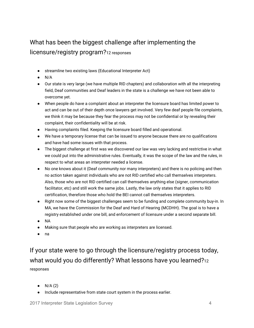# What has been the biggest challenge after implementing the licensure/registry program?<sup>12</sup> responses

- streamline two existing laws (Educational Interpreter Act)
- $\bullet$  N/A
- Our state is very large (we have multiple RID chapters) and collaboration with all the interpreting field, Deaf communities and Deaf leaders in the state is a challenge we have not been able to overcome yet.
- When people do have a complaint about an interpreter the licensure board has limited power to act and can be out of their depth once lawyers get involved. Very few deaf people file complaints, we think it may be because they fear the process may not be confidential or by revealing their complaint, their confidentiality will be at risk.
- Having complaints filed. Keeping the licensure board filled and operational.
- We have a temporary license that can be issued to anyone because there are no qualifications and have had some issues with that process.
- The biggest challenge at first was we discovered our law was very lacking and restrictive in what we could put into the administrative rules. Eventually, it was the scope of the law and the rules, in respect to what areas an interpreter needed a license.
- No one knows about it (Deaf community nor many interpreters) and there is no policing and then no action taken against individuals who are not RID certified who call themselves interpreters. Also, those who are not RID certified can call themselves anything else (signer, communication facilitator, etc) and still work the same jobs. Lastly, the law only states that it applies to RID certification, therefore those who hold the BEI cannot call themselves interpreters.
- Right now some of the biggest challenges seem to be funding and complete community buy-in. In MA, we have the Commission for the Deaf and Hard of Hearing (MCDHH). The goal is to have a registry established under one bill, and enforcement of licensure under a second separate bill.
- NA
- Making sure that people who are working as interpreters are licensed.
- na

If your state were to go through the licensure/registry process today, what would you do differently? What lessons have you learned?12 responses

- $\bullet$  N/A (2)
- Include representative from state court system in the process earlier.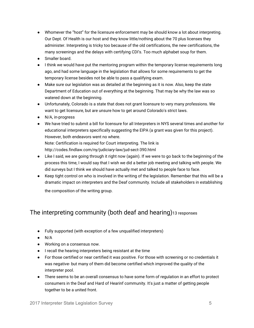- Whomever the "host" for the licensure enforcement may be should know a lot about interpreting. Our Dept. Of Health is our host and they know little/nothing about the 70 plus licenses they administer. Interpreting is tricky too because of the old certifications, the new certifications, the many screenings and the delays with certifying CDI's. Too much alphabet soup for them.
- Smaller board.
- I think we would have put the mentoring program within the temporary license requirements long ago, and had some language in the legislation that allows for some requirements to get the temporary license besides not be able to pass a qualifying exam.
- Make sure our legislation was as detailed at the beginning as it is now. Also, keep the state Department of Education out of everything at the beginning. That may be why the law was so watered down at the beginning.
- Unfortunately, Colorado is a state that does not grant licensure to very many professions. We want to get licensure, but are unsure how to get around Colorado's strict laws.
- N/A, in-progress
- We have tried to submit a bill for licensure for all Interpreters in NYS several times and another for educational interpreters specifically suggesting the EIPA (a grant was given for this project). However, both endeavors went no where.

Note: Certification is required for Court interpreting. The link is http://codes.findlaw.com/ny/judiciary-law/jud-sect-390.html

- Like I said, we are going through it right now (again). If we were to go back to the beginning of the process this time, I would say that I wish we did a better job meeting and talking with people. We did surveys but I think we should have actually met and talked to people face to face.
- Keep tight control on who is involved in the writing of the legislation. Remember that this will be a dramatic impact on interpreters and the Deaf community. Include all stakeholders in establishing the composition of the writing group.

## The interpreting community (both deaf and hearing)13 responses

- Fully supported (with exception of a few unqualified interpreters)
- $\bullet$  N/A
- Working on a consensus now.
- I recall the hearing interpreters being resistant at the time
- For those certified or near certified it was positive. For those with screening or no credentials it was negative- but many of them did become certified which improved the quality of the interpreter pool.
- There seems to be an overall consensus to have some form of regulation in an effort to protect consumers in the Deaf and Hard of Hearinf community. It's just a matter of getting people together to be a united front.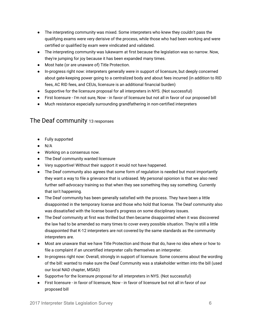- The interpreting community was mixed. Some interpreters who knew they couldn't pass the qualifying exams were very derisive of the process, while those who had been working and were certified or qualified by exam were vindicated and validated.
- The interpreting community was lukewarm at first because the legislation was so narrow. Now, they're jumping for joy because it has been expanded many times.
- Most hate (or are unaware of) Title Protection.
- In-progress right now: interpreters generally were in support of licensure, but deeply concerned about gate-keeping power going to a centralized body and about fees incurred (in addition to RID fees, AC RID fees, and CEUs, licensure is an additional financial burden)
- Supportive for the licensure proposal for all interpreters in NYS. (Not successful)
- First licensure I'm not sure, Now in favor of licensure but not all in favor of our proposed bill
- Much resistance especially surrounding grandfathering in non-certified interpreters

#### The Deaf community <sup>13</sup> responses

- Fully supported
- $\bullet$  N/A
- Working on a consensus now.
- The Deaf community wanted licensure
- Very supportive! Without their support it would not have happened.
- The Deaf community also agrees that some form of regulation is needed but most importantly they want a way to file a grievance that is unbiased. My personal opionion is that we also need further self-advocacy training so that when they see something they say something. Currently that isn't happening.
- The Deaf community has been generally satisfied with the process. They have been a little disappointed in the temporary license and those who hold that license. The Deaf community also was dissatisfied with the license board's progress on some disciplinary issues.
- The Deaf community at first was thrilled but then became disappointed when it was discovered the law had to be amended so many times to cover every possible situation. They're still a little disappointed that K-12 interpreters are not covered by the same standards as the community interpreters are.
- Most are unaware that we have Title Protection and those that do, have no idea where or how to file a complaint if an uncertified interpreter calls themselves an interpreter.
- In-progress right now: Overall, strongly in support of licensure. Some concerns about the wording of the bill: wanted to make sure the Deaf Community was a stakeholder written into the bill (used our local NAD chapter, MSAD)
- Supportve for the licensure proposal for all interpreters in NYS. (Not successful)
- First licensure in favor of licensure, Now in favor of licensure but not all in favor of our proposed bill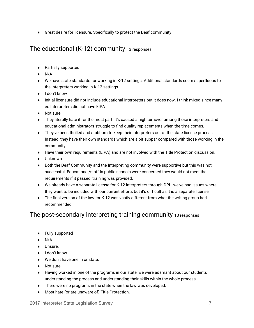● Great desire for licensure. Specifically to protect the Deaf community

#### The educational (K-12) community <sup>13</sup> responses

- Partially supported
- $\bullet$  N/A
- We have state standards for working in K-12 settings. Additional standards seem superfluous to the interpreters working in K-12 settings.
- I don't know
- Initial licensure did not include educational Interpreters but it does now. I think mixed since many ed Interpreters did not have EIPA
- Not sure.
- They literally hate it for the most part. It's caused a high turnover among those interpreters and educational administrators struggle to find quality replacements when the time comes.
- They've been thrilled and stubborn to keep their interpreters out of the state license process. Instead, they have their own standards which are a bit subpar compared with those working in the community.
- Have their own requirements (EIPA) and are not involved with the Title Protection discussion.
- Unknown
- Both the Deaf Community and the Interpreting community were supportive but this was not successful. Educational/staff in public schools were concerned they would not meet the requirements if it passed; training was provided.
- We already have a separate license for K-12 interpreters through DPI we've had issues where they want to be included with our current efforts but it's difficult as it is a separate license
- The final version of the law for K-12 was vastly different from what the writing group had recommended

## The post-secondary interpreting training community <sup>13</sup> responses

- Fully supported
- $\bullet$  N/A
- Unsure.
- I don't know
- We don't have one in or state.
- Not sure.
- Having worked in one of the programs in our state, we were adamant about our students understanding the process and understanding their skills within the whole process.
- There were no programs in the state when the law was developed.
- Most hate (or are unaware of) Title Protection.

2017 Interpreter State Legislation Survey 7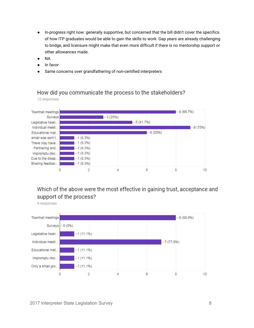- In-progress right now: generally supportive, but concerned that the bill didn't cover the specifics of how ITP graduates would be able to gain the skills to work. Gap years are already challenging to bridge, and licensure might make that even more difficult if there is no mentorship support or other allowances made.
- NA
- In favor
- Same concerns over grandfathering of non-certified interpreters

#### How did you communicate the process to the stakeholders?

12 responses



### Which of the above were the most effective in gaining trust, acceptance and support of the process?

9 responses